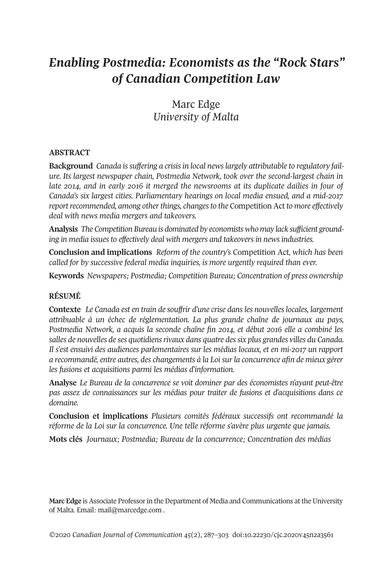# *Enabling Postmedia: Economists as the "Rock Stars" of Canadian Competition Law*

# Marc Edge *University of Malta*

#### **ABSTRACT**

**Background** *Canada issuffering a crisisin local newslargely attributable to regulatory failure. Its largest newspaper chain, Postmedia Network, took over the second-largest chain in late 2014, and in early 2016 it merged the newsrooms at its duplicate dailies in four of Canada's six largest cities. Parliamentary hearings on local media ensued, and a mid-2017 reportrecommended, among otherthings, changesto the* Competition Act *to more effectively deal with news media mergers and takeovers.*

**Analysi***s The Competition Bureau is dominated by economists who may lack sufficient grounding in media issues to effectively deal with mergers and takeovers in news industries.*

**Conclusion and implications** *Reform of the country's* Competition Act*, which has been called for by successive federal media inquiries, is more urgently required than ever.*

**Keywords** *Newspapers; Postmedia; Competition Bureau; Concentration of press ownership*

#### **RÉSUMÉ**

**Contexte** *Le Canada est en train de souffrir d'une crise dansles nouvelleslocales, largement attribuable à un échec de réglementation. La plus grande chaîne de journaux au pays, Postmedia Network, a acquis la seconde chaîne fin 2014, et début 2016 elle a combiné les salles de nouvelles de ses quotidiensrivaux dans quatre dessix plus grandes villes du Canada. Il s'est ensuivi des audiences parlementaires sur les médias locaux, et en mi-2017 un rapport a recommandé, entre autres, des changements à la Loisurla concurrence afin de mieux gérer les fusions et acquisitions parmi les médias d'information.*

**Analyse** *Le Bureau de la concurrence se voit dominer par des économistes n'ayant peut-être pas assez de connaissances sur les médias pour traiter de fusions et d'acquisitions dans ce domaine.*

**Conclusion et implications** *Plusieurs comités fédéraux successifs ont recommandé la réforme de la Loi sur la concurrence. Une telle réforme s'avère plus urgente que jamais.*

**Mots clés** *Journaux; Postmedia; Bureau de la concurrence; Concentration des médias*

**Marc Edge** is Associate Professorin the Department of Media and Communications at the University of Malta. Email: [mail@marcedge.com](mailto:mail@marcedge.com) .

*©*2020 *Canadian Journal of [Communication](http://www.cjc-online.ca) 45*(2), 287–303 [doi:10.22230/cjc.2020v45n2a3561](https://doi.org/10.22230/cjc.2020v45n2a3561)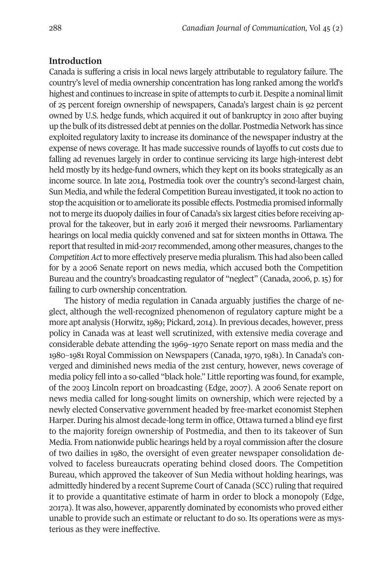#### **Introduction**

Canada is suffering a crisis in local news largely attributable to regulatory failure. The country's level of media ownership concentration has long ranked among the world's highest and continues to increase in spite of attempts to curb it. Despite a nominal limit of 25 percent foreign ownership of newspapers, Canada's largest chain is 92 percent owned by U.S. hedge funds, which acquired it out of bankruptcy in 2010 after buying up the bulk ofits distressed debt at pennies on the dollar. Postmedia Network has since exploited regulatory laxity to increase its dominance of the newspaper industry at the expense of news coverage. It has made successive rounds of layoffs to cut costs due to falling ad revenues largely in order to continue servicing its large high-interest debt held mostly by its hedge-fund owners, which they kept on its books strategically as an income source. In late 2014, Postmedia took over the country's second-largest chain, Sun Media, and while the federal Competition Bureau investigated, it took no action to stop the acquisition or to ameliorate its possible effects. Postmedia promised informally not to merge its duopoly dailies in four of Canada's six largest cities before receiving approval for the takeover, but in early 2016 it merged their newsrooms. Parliamentary hearings on local media quickly convened and sat for sixteen months in Ottawa. The report that resulted in mid-2017 recommended, among other measures, changes to the *CompetitionAct*to more effectively preserve media pluralism. This had also been called for by a 2006 Senate report on news media, which accused both the Competition Bureau and the country's broadcasting regulator of "neglect" (Canada, 2006, p. 15) for failing to curb ownership concentration.

The history of media regulation in Canada arguably justifies the charge of neglect, although the well-recognized phenomenon of regulatory capture might be a more apt analysis (Horwitz,1989; Pickard, 2014). In previous decades, however, press policy in Canada was at least well scrutinized, with extensive media coverage and considerable debate attending the 1969–1970 Senate report on mass media and the 1980–1981 Royal Commission on Newspapers (Canada, 1970, 1981). In Canada's converged and diminished news media of the 21st century, however, news coverage of media policy fell into a so-called "black hole." Little reporting was found, for example, of the 2003 Lincoln report on broadcasting (Edge, 2007). A 2006 Senate report on news media called for long-sought limits on ownership, which were rejected by a newly elected Conservative government headed by free-market economist Stephen Harper. During his almost decade-long term in office, Ottawa turned a blind eye first to the majority foreign ownership of Postmedia, and then to its takeover of Sun Media. From nationwide public hearings held by a royal commission after the closure of two dailies in 1980, the oversight of even greater newspaper consolidation devolved to faceless bureaucrats operating behind closed doors. The Competition Bureau, which approved the takeover of Sun Media without holding hearings, was admittedly hindered by a recent Supreme Court of Canada (SCC) ruling that required it to provide a quantitative estimate of harm in order to block a monopoly (Edge, 2017a). It was also, however, apparently dominated by economists who proved either unable to provide such an estimate or reluctant to do so. Its operations were as mysterious as they were ineffective.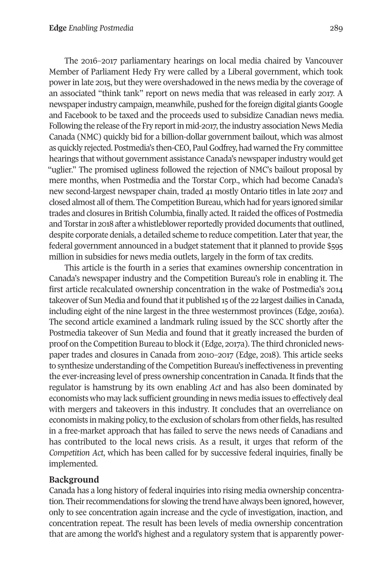The 2016–2017 parliamentary hearings on local media chaired by Vancouver Member of Parliament Hedy Fry were called by a Liberal government, which took powerin late 2015, but they were overshadowed in the news media by the coverage of an associated "think tank" report on news media that was released in early 2017. A newspaper industry campaign, meanwhile, pushed for the foreign digital giants Google and Facebook to be taxed and the proceeds used to subsidize Canadian news media. Following the release of the Fry report in mid-2017, the industry association News Media Canada (NMC) quickly bid for a billion-dollar government bailout, which was almost as quickly rejected. Postmedia's then-CEO, PaulGodfrey, had warned the Fry committee hearings that without government assistance Canada's newspaperindustry would get "uglier." The promised ugliness followed the rejection of NMC's bailout proposal by mere months, when Postmedia and the Torstar Corp., which had become Canada's new second-largest newspaper chain, traded 41 mostly Ontario titles in late 2017 and closed almost all of them. The Competition Bureau, which had for years ignored similar trades and closures in British Columbia, finally acted. It raided the offices of Postmedia and Torstar in 2018 after a whistleblower reportedly provided documents that outlined, despite corporate denials, a detailed scheme to reduce competition. Later that year, the federal government announced in a budget statement that it planned to provide \$595 million in subsidies for news media outlets, largely in the form of tax credits.

This article is the fourth in a series that examines ownership concentration in Canada's newspaper industry and the Competition Bureau's role in enabling it. The first article recalculated ownership concentration in the wake of Postmedia's 2014 takeover of Sun Media and found that it published 15 of the 22 largest dailies in Canada, including eight of the nine largest in the three westernmost provinces (Edge, 2016a). The second article examined a landmark ruling issued by the SCC shortly after the Postmedia takeover of Sun Media and found that it greatly increased the burden of proof on the Competition Bureau to block it (Edge, 2017a). The third chronicled newspaper trades and closures in Canada from 2010–2017 (Edge, 2018). This article seeks to synthesize understanding of the Competition Bureau's ineffectiveness in preventing the ever-increasing level of press ownership concentration in Canada. It finds that the regulator is hamstrung by its own enabling *Act* and has also been dominated by economists who may lack sufficient grounding in news media issues to effectively deal with mergers and takeovers in this industry. It concludes that an overreliance on economists in making policy, to the exclusion of scholars from other fields, has resulted in a free-market approach that has failed to serve the news needs of Canadians and has contributed to the local news crisis. As a result, it urges that reform of the *Competition Act*, which has been called for by successive federal inquiries, finally be implemented.

# **Background**

Canada has a long history of federal inquiries into rising media ownership concentration. Their recommendations for slowing the trend have always been ignored, however, only to see concentration again increase and the cycle of investigation, inaction, and concentration repeat. The result has been levels of media ownership concentration that are among the world's highest and a regulatory system that is apparently power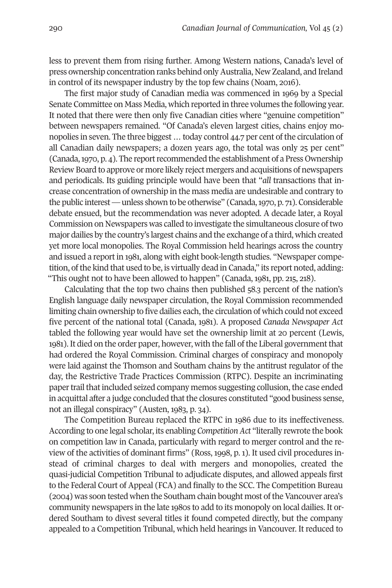less to prevent them from rising further. Among Western nations, Canada's level of press ownership concentration ranks behind onlyAustralia, New Zealand, and Ireland in control of its newspaper industry by the top few chains (Noam, 2016).

The first major study of Canadian media was commenced in 1969 by a Special Senate Committee on Mass Media, which reported in three volumes the following year. It noted that there were then only five Canadian cities where "genuine competition" between newspapers remained. "Of Canada's eleven largest cities, chains enjoy monopolies in seven. The three biggest ... today control 44.7 per cent of the circulation of all Canadian daily newspapers; a dozen years ago, the total was only 25 per cent" (Canada, 1970, p. 4). The report recommended the establishment of a Press Ownership Review Board to approve or more likely reject mergers and acquisitions of newspapers and periodicals. Its guiding principle would have been that "*all* transactions that increase concentration of ownership in the mass media are undesirable and contrary to the public interest—unless shown to be otherwise" (Canada,1970, p. 71). Considerable debate ensued, but the recommendation was never adopted. A decade later, a Royal Commission on Newspapers was called to investigate the simultaneous closure oftwo major dailies by the country's largest chains and the exchange of a third, which created yet more local monopolies. The Royal Commission held hearings across the country and issued a report in 1981, along with eight book-length studies. "Newspaper competition, ofthe kind that used to be, is virtually dead in Canada," its report noted, adding: "This ought not to have been allowed to happen" (Canada, 1981, pp. 215, 218).

Calculating that the top two chains then published 58.3 percent of the nation's English language daily newspaper circulation, the Royal Commission recommended limiting chain ownership to five dailies each, the circulation of which could not exceed five percent of the national total (Canada, 1981). A proposed *Canada Newspaper Act* tabled the following year would have set the ownership limit at 20 percent (Lewis, 1981). It died on the order paper, however, with the fall of the Liberal government that had ordered the Royal Commission. Criminal charges of conspiracy and monopoly were laid against the Thomson and Southam chains by the antitrust regulator of the day, the Restrictive Trade Practices Commission (RTPC). Despite an incriminating paper trail that included seized company memos suggesting collusion, the case ended in acquittal after a judge concluded that the closures constituted "good business sense, not an illegal conspiracy" (Austen, 1983, p. 34).

The Competition Bureau replaced the RTPC in 1986 due to its ineffectiveness. According to one legal scholar, its enabling *Competition Act* "literally rewrote the book on competition law in Canada, particularly with regard to merger control and the review of the activities of dominant firms" (Ross, 1998, p. 1). It used civil procedures instead of criminal charges to deal with mergers and monopolies, created the quasi-judicial Competition Tribunal to adjudicate disputes, and allowed appeals first to the Federal Court of Appeal (FCA) and finally to the SCC. The Competition Bureau (2004) was soon tested when the Southam chain bought most of the Vancouver area's community newspapers in the late 1980s to add to its monopoly on local dailies. It ordered Southam to divest several titles it found competed directly, but the company appealed to a Competition Tribunal, which held hearings in Vancouver. It reduced to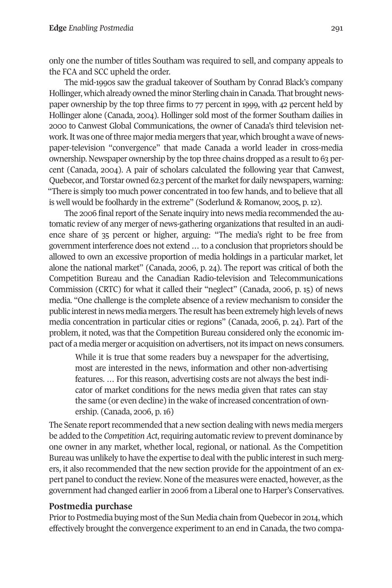only one the number of titles Southam was required to sell, and company appeals to the FCA and SCC upheld the order.

The mid-1990s saw the gradual takeover of Southam by Conrad Black's company Hollinger, which already owned the minor Sterling chain in Canada. That brought newspaper ownership by the top three firms to 77 percent in 1999, with 42 percent held by Hollinger alone (Canada, 2004). Hollinger sold most of the former Southam dailies in 2000 to Canwest Global Communications, the owner of Canada's third television network. It was one of three major media mergers that year, which brought a wave of newspaper-television "convergence" that made Canada a world leader in cross-media ownership. Newspaper ownership by the top three chains dropped as a result to 63 percent (Canada, 2004). A pair of scholars calculated the following year that Canwest, Quebecor, and Torstar owned 62.3 percent of the market for daily newspapers, warning: "There is simply too much power concentrated in too few hands, and to believe that all is well would be foolhardy in the extreme" (Soderlund & Romanow, 2005, p.12).

The 2006 final report of the Senate inquiry into news media recommended the automatic review of any merger of news-gathering organizations that resulted in an audience share of 35 percent or higher, arguing: "The media's right to be free from government interference does not extend … to a conclusion that proprietors should be allowed to own an excessive proportion of media holdings in a particular market, let alone the national market" (Canada, 2006, p. 24). The report was critical of both the Competition Bureau and the Canadian Radio-television and Telecommunications Commission (CRTC) for what it called their "neglect" (Canada, 2006, p. 15) of news media. "One challenge is the complete absence of a review mechanism to consider the public interest in news media mergers. The result has been extremely high levels of news media concentration in particular cities or regions" (Canada, 2006, p. 24). Part of the problem, it noted, was that the Competition Bureau considered only the economic impact of a media merger or acquisition on advertisers, notits impact on news consumers.

While it is true that some readers buy a newspaper for the advertising, most are interested in the news, information and other non-advertising features. … For this reason, advertising costs are not always the best indicator of market conditions for the news media given that rates can stay the same (or even decline) in the wake of increased concentration of ownership. (Canada, 2006, p. 16)

The Senate report recommended that a new section dealing with news media mergers be added to the *Competition Act*, requiring automatic review to prevent dominance by one owner in any market, whether local, regional, or national. As the Competition Bureau was unlikely to have the expertise to deal with the public interestin such mergers, it also recommended that the new section provide for the appointment of an expert panel to conduct the review. None of the measures were enacted, however, as the government had changed earlierin 2006 from a Liberal one to Harper's Conservatives.

# **Postmedia purchase**

Prior to Postmedia buying most of the Sun Media chain from Quebecor in 2014, which effectively brought the convergence experiment to an end in Canada, the two compa-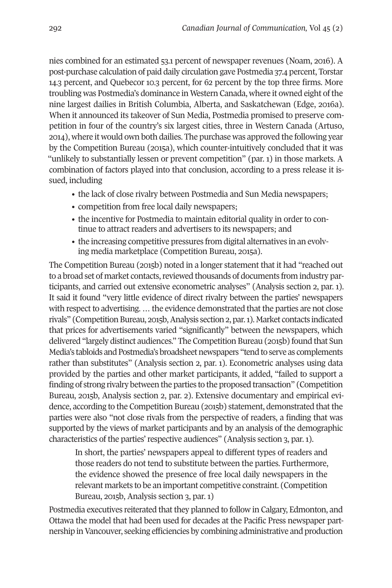nies combined for an estimated 53.1 percent of newspaper revenues (Noam, 2016). A post-purchase calculation of paid daily circulation gave Postmedia 37.4 percent, Torstar 14.3 percent, and Quebecor 10.3 percent, for 62 percent by the top three firms. More troubling was Postmedia's dominance in Western Canada, where it owned eight of the nine largest dailies in British Columbia, Alberta, and Saskatchewan (Edge, 2016a). When it announced its takeover of Sun Media, Postmedia promised to preserve competition in four of the country's six largest cities, three in Western Canada (Artuso, 2014), where it would own both dailies. The purchase was approved the following year by the Competition Bureau (2015a), which counter-intuitively concluded that it was "unlikely to substantially lessen or prevent competition" (par. 1) in those markets. A combination of factors played into that conclusion, according to a press release it issued, including

- the lack of close rivalry between Postmedia and Sun Media newspapers;
- competition from free local daily newspapers;
- the incentive for Postmedia to maintain editorial quality in order to continue to attract readers and advertisers to its newspapers; and
- the increasing competitive pressures from digital alternatives in an evolving media marketplace (Competition Bureau, 2015a).

The Competition Bureau (2015b) noted in a longer statement that it had "reached out to a broad set of market contacts, reviewed thousands of documents from industry participants, and carried out extensive econometric analyses" (Analysis section 2, par. 1). It said it found "very little evidence of direct rivalry between the parties' newspapers with respect to advertising. ... the evidence demonstrated that the parties are not close rivals" (Competition Bureau, 2015b, Analysis section 2, par. 1). Market contacts indicated that prices for advertisements varied "significantly" between the newspapers, which delivered "largely distinct audiences." The Competition Bureau (2015b) found that Sun Media's tabloids and Postmedia's broadsheet newspapers "tend to serve as complements rather than substitutes" (Analysis section 2, par. 1). Econometric analyses using data provided by the parties and other market participants, it added, "failed to support a finding of strong rivalry between the parties to the proposed transaction" (Competition Bureau, 2015b, Analysis section 2, par. 2). Extensive documentary and empirical evidence, according to the Competition Bureau (2015b) statement, demonstrated that the parties were also "not close rivals from the perspective of readers, a finding that was supported by the views of market participants and by an analysis of the demographic characteristics of the parties' respective audiences" (Analysis section 3, par. 1).

In short, the parties' newspapers appeal to different types of readers and those readers do not tend to substitute between the parties. Furthermore, the evidence showed the presence of free local daily newspapers in the relevant markets to be an important competitive constraint. (Competition Bureau, 2015b, Analysis section 3, par. 1)

Postmedia executives reiterated that they planned to follow in Calgary, Edmonton, and Ottawa the model that had been used for decades at the Pacific Press newspaper partnership inVancouver, seeking efficiencies by combining administrative and production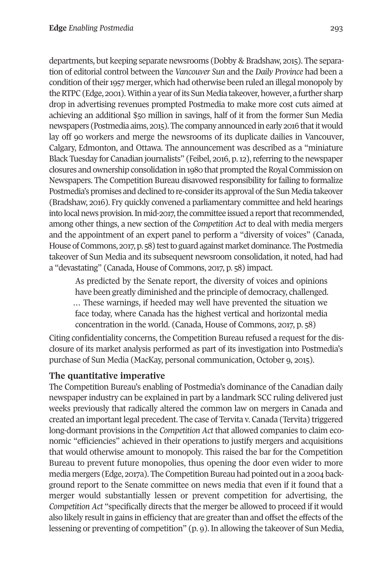departments, but keeping separate newsrooms (Dobby & Bradshaw, 2015). The separation of editorial control between the *Vancouver Sun* and the *Daily Province* had been a condition of their 1957 merger, which had otherwise been ruled an illegal monopoly by the RTPC (Edge, 2001). Within a year of its Sun Media takeover, however, a further sharp drop in advertising revenues prompted Postmedia to make more cost cuts aimed at achieving an additional \$50 million in savings, half of it from the former Sun Media newspapers (Postmedia aims, 2015). The company announced in early 2016 that it would lay off 90 workers and merge the newsrooms of its duplicate dailies in Vancouver, Calgary, Edmonton, and Ottawa. The announcement was described as a "miniature Black Tuesday for Canadian journalists" (Feibel, 2016, p. 12), referring to the newspaper closures and ownership consolidation in 1980 that prompted the Royal Commission on Newspapers. The Competition Bureau disavowed responsibility for failing to formalize Postmedia's promises and declined to re-consider its approval of the Sun Media takeover (Bradshaw, 2016). Fry quickly convened a parliamentary committee and held hearings into local news provision. In mid-2017, the committee issued a report that recommended, among other things, a new section of the *Competition Act* to deal with media mergers and the appointment of an expert panel to perform a "diversity of voices" (Canada, House of Commons, 2017, p. 58) test to guard against market dominance. The Postmedia takeover of Sun Media and its subsequent newsroom consolidation, it noted, had had a "devastating" (Canada, House of Commons, 2017, p. 58) impact.

As predicted by the Senate report, the diversity of voices and opinions have been greatly diminished and the principle of democracy, challenged. … These warnings, if heeded may well have prevented the situation we face today, where Canada has the highest vertical and horizontal media concentration in the world. (Canada, House of Commons, 2017, p. 58)

Citing confidentiality concerns, the Competition Bureau refused a request for the disclosure of its market analysis performed as part of its investigation into Postmedia's purchase of Sun Media (MacKay, personal communication, October 9, 2015).

# **The quantitative imperative**

The Competition Bureau's enabling of Postmedia's dominance of the Canadian daily newspaper industry can be explained in part by a landmark SCC ruling delivered just weeks previously that radically altered the common law on mergers in Canada and created an important legal precedent. The case of Tervita v. Canada (Tervita) triggered long-dormant provisions in the *Competition Act* that allowed companies to claim economic "efficiencies" achieved in their operations to justify mergers and acquisitions that would otherwise amount to monopoly. This raised the bar for the Competition Bureau to prevent future monopolies, thus opening the door even wider to more media mergers (Edge, 2017a). The Competition Bureau had pointed outin a 2004 background report to the Senate committee on news media that even if it found that a merger would substantially lessen or prevent competition for advertising, the *Competition Act* "specifically directs that the merger be allowed to proceed if it would also likely result in gains in efficiency that are greater than and offset the effects of the lessening or preventing of competition" (p. 9). In allowing the takeover of Sun Media,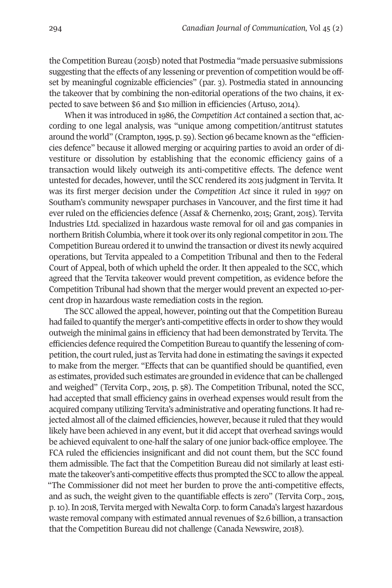the Competition Bureau (2015b) noted that Postmedia "made persuasive submissions suggesting that the effects of any lessening or prevention of competition would be offset by meaningful cognizable efficiencies" (par. 3). Postmedia stated in announcing the takeover that by combining the non-editorial operations of the two chains, it expected to save between \$6 and \$10 million in efficiencies (Artuso, 2014).

When it was introduced in 1986, the *Competition Act* contained a section that, according to one legal analysis, was "unique among competition/antitrust statutes around the world" (Crampton,1995, p. 59). Section 96 became known as the "efficiencies defence" because it allowed merging or acquiring parties to avoid an order of divestiture or dissolution by establishing that the economic efficiency gains of a transaction would likely outweigh its anti-competitive effects. The defence went untested for decades, however, until the SCC rendered its 2015 judgment in Tervita. It was its first merger decision under the *Competition Act* since it ruled in 1997 on Southam's community newspaper purchases in Vancouver, and the first time it had ever ruled on the efficiencies defence (Assaf & Chernenko, 2015; Grant, 2015). Tervita Industries Ltd. specialized in hazardous waste removal for oil and gas companies in northern British Columbia, where it took over its only regional competitor in 2011. The Competition Bureau ordered it to unwind the transaction or divest its newly acquired operations, but Tervita appealed to a Competition Tribunal and then to the Federal Court of Appeal, both of which upheld the order. It then appealed to the SCC, which agreed that the Tervita takeover would prevent competition, as evidence before the Competition Tribunal had shown that the merger would prevent an expected 10-percent drop in hazardous waste remediation costs in the region.

The SCC allowed the appeal, however, pointing out that the Competition Bureau had failed to quantify the merger's anti-competitive effects in order to show they would outweigh the minimal gains in efficiency that had been demonstrated by Tervita. The efficiencies defence required the Competition Bureau to quantify the lessening of competition, the court ruled, just as Tervita had done in estimating the savings it expected to make from the merger. "Effects that can be quantified should be quantified, even as estimates, provided such estimates are grounded in evidence that can be challenged and weighed" (Tervita Corp., 2015, p. 58). The Competition Tribunal, noted the SCC, had accepted that small efficiency gains in overhead expenses would result from the acquired company utilizing Tervita's administrative and operating functions. It had rejected almost all of the claimed efficiencies, however, because it ruled that they would likely have been achieved in any event, but it did accept that overhead savings would be achieved equivalent to one-half the salary of one junior back-office employee. The FCA ruled the efficiencies insignificant and did not count them, but the SCC found them admissible. The fact that the Competition Bureau did not similarly at least estimate the takeover's anti-competitive effects thus prompted the SCC to allow the appeal. "The Commissioner did not meet her burden to prove the anti-competitive effects, and as such, the weight given to the quantifiable effects is zero" (Tervita Corp., 2015, p.10). In 2018, Tervita merged with Newalta Corp. to form Canada's largest hazardous waste removal company with estimated annual revenues of \$2.6 billion, a transaction that the Competition Bureau did not challenge (Canada Newswire, 2018).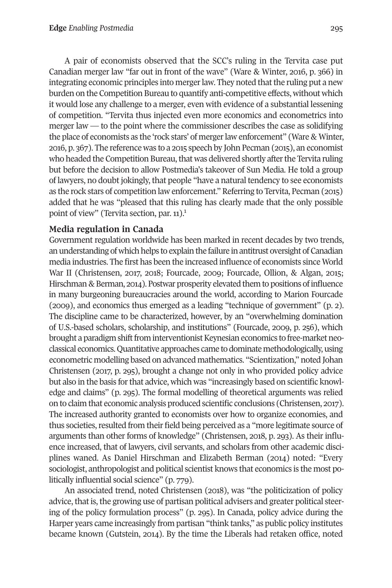A pair of economists observed that the SCC's ruling in the Tervita case put Canadian merger law "far out in front of the wave" (Ware & Winter, 2016, p. 366) in integrating economic principles into merger law. They noted that the ruling put a new burden on the Competition Bureau to quantify anti-competitive effects, without which it would lose any challenge to a merger, even with evidence of a substantial lessening of competition. "Tervita thus injected even more economics and econometrics into merger law — to the point where the commissioner describes the case as solidifying the place of economists as the 'rock stars' of mergerlaw enforcement" (Ware & Winter, 2016, p. 367). The reference was to a 2015 speech by John Pecman (2015), an economist who headed the Competition Bureau, that was delivered shortly after the Tervita ruling but before the decision to allow Postmedia's takeover of Sun Media. He told a group of lawyers, no doubt jokingly, that people "have a natural tendency to see economists as the rock stars of competition law enforcement." Referring to Tervita, Pecman (2015) added that he was "pleased that this [ru](#page-14-0)ling has clearly made that the only possible point of view" (Tervita section, par. 11). 1

# **Media regulation in Canada**

Government regulation worldwide has been marked in recent decades by two trends, an understanding of which helps to explain the failure in antitrust oversight of Canadian media industries. The first has been the increased influence of economists since World War II (Christensen, 2017, 2018; Fourcade, 2009; Fourcade, Ollion, & Algan, 2015; Hirschman & Berman, 2014). Postwar prosperity elevated them to positions of influence in many burgeoning bureaucracies around the world, according to Marion Fourcade (2009), and economics thus emerged as a leading "technique of government" (p. 2). The discipline came to be characterized, however, by an "overwhelming domination of U.S.-based scholars, scholarship, and institutions" (Fourcade, 2009, p. 256), which brought a paradigm shift from interventionist Keynesian economics to free-market neoclassical economics.Quantitative approaches came to dominatemethodologically,using econometric modelling based on advanced mathematics. "Scientization," noted Johan Christensen (2017, p. 295), brought a change not only in who provided policy advice but also in the basis for that advice, which was "increasingly based on scientific knowledge and claims" (p. 295). The formal modelling of theoretical arguments was relied on to claim that economic analysis produced scientific conclusions (Christensen, 2017). The increased authority granted to economists over how to organize economies, and thus societies, resulted from their field being perceived as a "more legitimate source of arguments than other forms of knowledge" (Christensen, 2018, p. 293). As their influence increased, that of lawyers, civil servants, and scholars from other academic disciplines waned. As Daniel Hirschman and Elizabeth Berman (2014) noted: "Every sociologist, anthropologist and political scientist knows that economics is the most politically influential social science" (p. 779).

An associated trend, noted Christensen (2018), was "the politicization of policy advice, that is, the growing use of partisan political advisers and greater political steering of the policy formulation process" (p. 295). In Canada, policy advice during the Harper years came increasingly from partisan "think tanks," as public policy institutes became known (Gutstein, 2014). By the time the Liberals had retaken office, noted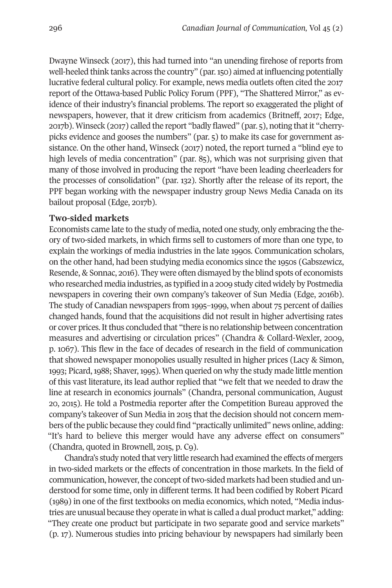Dwayne Winseck (2017), this had turned into "an unending firehose of reports from well-heeled think tanks across the country" (par.150) aimed atinfluencing potentially lucrative federal cultural policy. For example, news media outlets often cited the 2017 report of the Ottawa-based Public Policy Forum (PPF), "The Shattered Mirror," as evidence of their industry's financial problems. The report so exaggerated the plight of newspapers, however, that it drew criticism from academics (Britneff, 2017; Edge, 2017b). Winseck (2017) called the report "badly flawed" (par. 5), noting thatit "cherrypicks evidence and gooses the numbers" (par. 5) to make its case for government assistance. On the other hand, Winseck (2017) noted, the report turned a "blind eye to high levels of media concentration" (par. 85), which was not surprising given that many of those involved in producing the report "have been leading cheerleaders for the processes of consolidation" (par. 132). Shortly after the release of its report, the PPF began working with the newspaper industry group News Media Canada on its bailout proposal (Edge, 2017b).

#### **Two-sided markets**

Economists came late to the study of media, noted one study, only embracing the theory of two-sided markets, in which firms sell to customers of more than one type, to explain the workings of media industries in the late 1990s. Communication scholars, on the other hand, had been studying media economics since the 1950s (Gabszewicz, Resende, & Sonnac, 2016). They were often dismayed by the blind spots of economists who researched media industries, as typified in a 2009 study cited widely by Postmedia newspapers in covering their own company's takeover of Sun Media (Edge, 2016b). The study of Canadian newspapers from 1995–1999, when about 75 percent of dailies changed hands, found that the acquisitions did not result in higher advertising rates or cover prices.Itthus concluded that "there is no relationship between concentration measures and advertising or circulation prices" (Chandra & Collard-Wexler, 2009, p. 1067). This flew in the face of decades of research in the field of communication that showed newspaper monopolies usually resulted in higher prices (Lacy & Simon, 1993; Picard,1988; Shaver,1995). When queried on why the study made little mention of this vast literature, its lead author replied that "we felt that we needed to draw the line at research in economics journals" (Chandra, personal communication, August 20, 2015). He told a Postmedia reporter after the Competition Bureau approved the company's takeover of Sun Media in 2015 that the decision should not concern members of the public because they could find "practically unlimited" news online, adding: "It's hard to believe this merger would have any adverse effect on consumers" (Chandra, quoted in Brownell, 2015, p. C9).

Chandra's study noted that very little research had examined the effects of mergers in two-sided markets or the effects of concentration in those markets. In the field of communication, however, the concept of two-sided markets had been studied and understood for some time, only in different terms. It had been codified by Robert Picard (1989) in one of the first textbooks on media economics, which noted, "Media industries are unusual because they operate in what is called a dual product market," adding: "They create one product but participate in two separate good and service markets" (p. 17). Numerous studies into pricing behaviour by newspapers had similarly been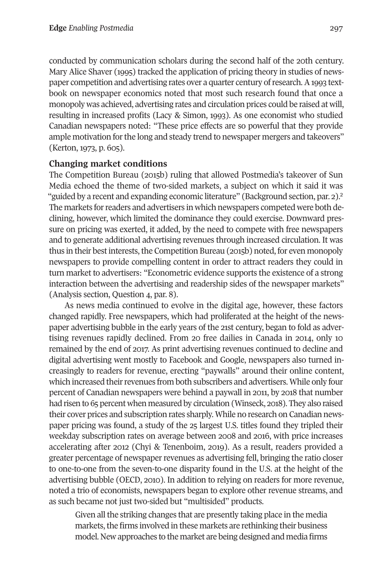conducted by communication scholars during the second half of the 20th century. Mary Alice Shaver (1995) tracked the application of pricing theory in studies of newspaper competition and advertising rates over a quarter century ofresearch.A1993 textbook on newspaper economics noted that most such research found that once a monopoly was achieved, advertising rates and circulation prices could be raised at will, resulting in increased profits (Lacy & Simon, 1993). As one economist who studied Canadian newspapers noted: "These price effects are so powerful that they provide ample motivation for the long and steady trend to newspaper mergers and takeovers" (Kerton, 1973, p. 605).

## **Changing market conditions**

The Competition Bureau (2015b) ruling that allowed Postmedia's takeover of Sun Media echoed the theme of two-sided markets, a subject on which it said it w[as](#page-14-1) "guided by a recent and expanding economic literature" (Background section, par. 2).<sup>2</sup> The markets for readers and advertisers in which newspapers competed were both declining, however, which limited the dominance they could exercise. Downward pressure on pricing was exerted, it added, by the need to compete with free newspapers and to generate additional advertising revenues through increased circulation. It was thus in their best interests, the Competition Bureau (2015b) noted, for even monopoly newspapers to provide compelling content in order to attract readers they could in turn market to advertisers: "Econometric evidence supports the existence of a strong interaction between the advertising and readership sides of the newspaper markets" (Analysis section, Question 4, par. 8).

As news media continued to evolve in the digital age, however, these factors changed rapidly. Free newspapers, which had proliferated at the height of the newspaper advertising bubble in the early years of the 21st century, began to fold as advertising revenues rapidly declined. From 20 free dailies in Canada in 2014, only 10 remained by the end of 2017. As print advertising revenues continued to decline and digital advertising went mostly to Facebook and Google, newspapers also turned increasingly to readers for revenue, erecting "paywalls" around their online content, which increased their revenues from both subscribers and advertisers. While only four percent of Canadian newspapers were behind a paywall in 2011, by 2018 that number had risen to 65 percent when measured by circulation (Winseck, 2018). They also raised their cover prices and subscription rates sharply. While no research on Canadian newspaper pricing was found, a study of the 25 largest U.S. titles found they tripled their weekday subscription rates on average between 2008 and 2016, with price increases accelerating after 2012 (Chyi & Tenenboim, 2019). As a result, readers provided a greater percentage of newspaper revenues as advertising fell, bringing the ratio closer to one-to-one from the seven-to-one disparity found in the U.S. at the height of the advertising bubble (OECD, 2010). In addition to relying on readers for more revenue, noted a trio of economists, newspapers began to explore other revenue streams, and as such became not just two-sided but "multisided" products.

Given all the striking changes that are presently taking place in the media markets, the firms involved in these markets are rethinking their business model. New approaches to the market are being designed and media firms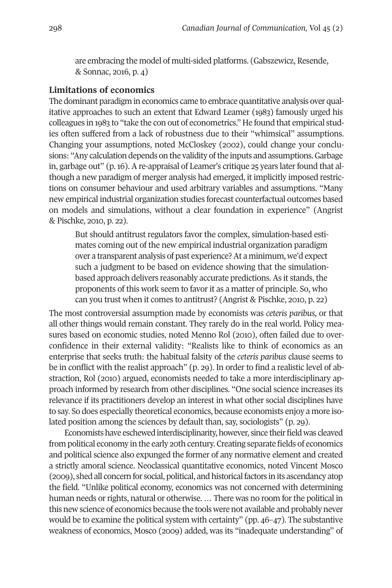are embracing the model of multi-sided platforms. (Gabszewicz, Resende, & Sonnac, 2016, p. 4)

#### **Limitations of economics**

The dominant paradigm in economics came to embrace quantitative analysis over qualitative approaches to such an extent that Edward Leamer (1983) famously urged his colleagues in 1983 to "take the con out of econometrics." He found that empirical studies often suffered from a lack of robustness due to their "whimsical" assumptions. Changing your assumptions, noted McCloskey (2002), could change your conclusions: "Any calculation depends on the validity of the inputs and assumptions. Garbage in, garbage out"  $(p, 16)$ . A re-appraisal of Leamer's critique 25 years later found that although a new paradigm of merger analysis had emerged, it implicitly imposed restrictions on consumer behaviour and used arbitrary variables and assumptions. "Many new empirical industrial organization studies forecast counterfactual outcomes based on models and simulations, without a clear foundation in experience" (Angrist & Pischke, 2010, p. 22).

But should antitrust regulators favor the complex, simulation-based estimates coming out of the new empirical industrial organization paradigm over a transparent analysis of past experience?At a minimum, we'd expect such a judgment to be based on evidence showing that the simulationbased approach delivers reasonably accurate predictions. As it stands, the proponents of this work seem to favor it as a matter of principle. So, who can you trust when it comes to antitrust? (Angrist & Pischke, 2010, p. 22)

The most controversial assumption made by economists was *ceteris paribus*, or that all other things would remain constant. They rarely do in the real world. Policy measures based on economic studies, noted Menno Rol (2010), often failed due to overconfidence in their external validity: "Realists like to think of economics as an enterprise that seeks truth: the habitual falsity of the *ceteris paribus* clause seems to be in conflict with the realist approach" (p. 29). In order to find a realistic level of abstraction, Rol (2010) argued, economists needed to take a more interdisciplinary approach informed by research from other disciplines. "One social science increases its relevance if its practitioners develop an interest in what other social disciplines have to say. So does especially theoretical economics, because economists enjoy a more isolated position among the sciences by default than, say, sociologists" (p. 29).

Economists have eschewed interdisciplinarity, however, since their field was cleaved from political economy in the early 20th century. Creating separate fields of economics and political science also expunged the former of any normative element and created a strictly amoral science. Neoclassical quantitative economics, noted Vincent Mosco (2009), shed all concern for social, political, and historicalfactors in its ascendancy atop the field. "Unlike political economy, economics was not concerned with determining human needs or rights, natural or otherwise. ... There was no room for the political in this new science of economics because the tools were not available and probably never would be to examine the political system with certainty" (pp. 46–47). The substantive weakness of economics, Mosco (2009) added, was its "inadequate understanding" of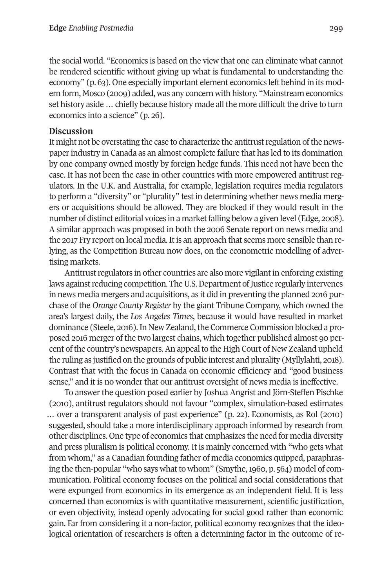the social world. "Economics is based on the view that one can eliminate what cannot be rendered scientific without giving up what is fundamental to understanding the economy" (p. 63). One especially important element economics left behind in its modern form, Mosco (2009) added, was any concern with history. "Mainstream economics set history aside ... chiefly because history made all the more difficult the drive to turn economics into a science" (p. 26).

#### **Discussion**

It might not be overstating the case to characterize the antitrust regulation of the newspaperindustry in Canada as an almost complete failure that has led to its domination by one company owned mostly by foreign hedge funds. This need not have been the case. It has not been the case in other countries with more empowered antitrust regulators. In the U.K. and Australia, for example, legislation requires media regulators to perform a "diversity" or "plurality" test in determining whether news media mergers or acquisitions should be allowed. They are blocked if they would result in the number of distinct editorial voices in a market falling below a given level (Edge, 2008). A similar approach was proposed in both the 2006 Senate report on news media and the 2017 Fry report on local media. It is an approach that seems more sensible than relying, as the Competition Bureau now does, on the econometric modelling of advertising markets.

Antitrust regulators in other countries are also more vigilant in enforcing existing laws against reducing competition. The U.S. Department of Justice regularly intervenes in news media mergers and acquisitions, as it did in preventing the planned 2016 purchase of the *Orange County Register* by the giant Tribune Company, which owned the area's largest daily, the *Los Angeles Times*, because it would have resulted in market dominance (Steele, 2016). In New Zealand, the Commerce Commission blocked a proposed 2016 merger of the two largest chains, which together published almost 90 percent of the country's newspapers. An appeal to the High Court of New Zealand upheld the ruling as justified on the grounds of public interest and plurality (Myllylahti, 2018). Contrast that with the focus in Canada on economic efficiency and "good business sense," and it is no wonder that our antitrust oversight of news media is ineffective.

To answer the question posed earlier by Joshua Angrist and Jörn-Steffen Pischke (2010), antitrust regulators should not favour "complex, simulation-based estimates … over a transparent analysis of past experience" (p. 22). Economists, as Rol (2010) suggested, should take a more interdisciplinary approach informed by research from other disciplines. One type of economics that emphasizes the need for media diversity and press pluralism is political economy. It is mainly concerned with "who gets what from whom," as a Canadian founding father of media economics quipped, paraphrasing the then-popular "who says what to whom" (Smythe, 1960, p. 564) model of communication. Political economy focuses on the political and social considerations that were expunged from economics in its emergence as an independent field. It is less concerned than economics is with quantitative measurement, scientific justification, or even objectivity, instead openly advocating for social good rather than economic gain. Far from considering it a non-factor, political economy recognizes that the ideological orientation of researchers is often a determining factor in the outcome of re-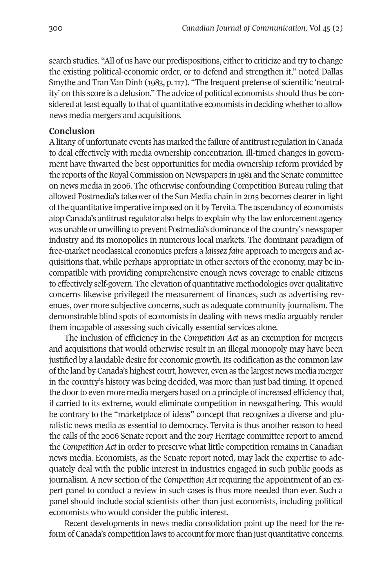search studies. "All of us have our predispositions, either to criticize and try to change the existing political-economic order, or to defend and strengthen it," noted Dallas Smythe and Tran Van Dinh (1983, p. 117). "The frequent pretense of scientific 'neutrality' on this score is a delusion." The advice of political economists should thus be considered at least equally to that of quantitative economists in deciding whether to allow news media mergers and acquisitions.

#### **Conclusion**

Alitany of unfortunate events has marked the failure of antitrustregulation in Canada to deal effectively with media ownership concentration. Ill-timed changes in government have thwarted the best opportunities for media ownership reform provided by the reports of the Royal Commission on Newspapers in 1981 and the Senate committee on news media in 2006. The otherwise confounding Competition Bureau ruling that allowed Postmedia's takeover of the Sun Media chain in 2015 becomes clearer in light ofthe quantitative imperative imposed on it by Tervita. The ascendancy of economists atop Canada's antitrust regulator also helps to explain why the law enforcement agency was unable or unwilling to prevent Postmedia's dominance of the country's newspaper industry and its monopolies in numerous local markets. The dominant paradigm of free-market neoclassical economics prefers a *laissez faire* approach to mergers and acquisitions that, while perhaps appropriate in other sectors of the economy, may be incompatible with providing comprehensive enough news coverage to enable citizens to effectively self-govern. The elevation of quantitative methodologies over qualitative concerns likewise privileged the measurement of finances, such as advertising revenues, over more subjective concerns, such as adequate community journalism. The demonstrable blind spots of economists in dealing with news media arguably render them incapable of assessing such civically essential services alone.

The inclusion of efficiency in the *Competition Act* as an exemption for mergers and acquisitions that would otherwise result in an illegal monopoly may have been justified by a laudable desire for economic growth. Its codification as the common law ofthe land by Canada's highest court, however, even as the largest news media merger in the country's history was being decided, was more than just bad timing. It opened the door to even more media mergers based on a principle of increased efficiency that, if carried to its extreme, would eliminate competition in newsgathering. This would be contrary to the "marketplace of ideas" concept that recognizes a diverse and pluralistic news media as essential to democracy. Tervita is thus another reason to heed the calls of the 2006 Senate report and the 2017 Heritage committee report to amend the *Competition Act* in order to preserve what little competition remains in Canadian news media. Economists, as the Senate report noted, may lack the expertise to adequately deal with the public interest in industries engaged in such public goods as journalism. A new section of the *Competition Act* requiring the appointment of an expert panel to conduct a review in such cases is thus more needed than ever. Such a panel should include social scientists other than just economists, including political economists who would consider the public interest.

Recent developments in news media consolidation point up the need for the reform of Canada's competition laws to accountfor more than just quantitative concerns.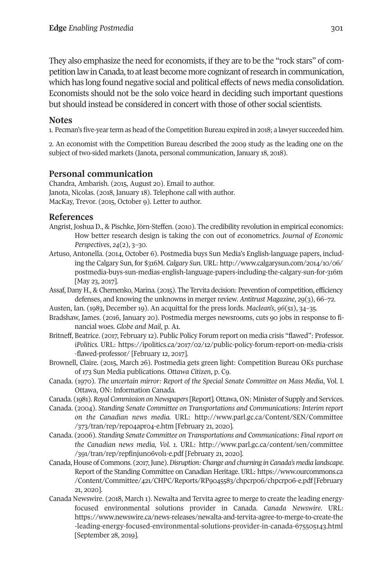They also emphasize the need for economists, if they are to be the "rock stars" of competition law in Canada, to at least become more cognizant of research in communication, which has long found negative social and political effects of news media consolidation. Economists should not be the solo voice heard in deciding such important questions but should instead be considered in concert with those of other social scientists.

# **Notes**

<span id="page-14-0"></span>1. Pecman's five-year term as head of the Competition Bureau expired in 2018; a lawyer succeeded him.

<span id="page-14-1"></span>2. An economist with the Competition Bureau described the 2009 study as the leading one on the subject of two-sided markets (Janota, personal communication, January 18, 2018).

## **Personal communication**

Chandra, Ambarish. (2015, August 20). Email to author. Janota, Nicolas. (2018, January 18). Telephone call with author. MacKay, Trevor. (2015, October 9). Letter to author.

#### **References**

- Angrist, Joshua D., & Pischke, Jörn-Steffen. (2010). The credibility revolution in empirical economics: How better research design is taking the con out of econometrics. *Journal of Economic Perspectives*, *24*(2), 3–30.
- Artuso, Antonella. (2014, October 6). Postmedia buys Sun Media's English-language papers, including the Calgary Sun, for \$316M. *Calgary Sun*. URL: [http://www.calgarysun.com/2014/10/06/](http://www.calgarysun.com/2014/10/06/postmedia-buys-sun-medias-english-language-papers-including-the-calgary-sun-for-316m) [postmedia-buys-sun-medias-english-language-papers-including-the-calgary-sun-for-316m](http://www.calgarysun.com/2014/10/06/postmedia-buys-sun-medias-english-language-papers-including-the-calgary-sun-for-316m) [May 23, 2017].
- Assaf,Dany H., & Chernenko, Marina. (2015). The Tervita decision: Prevention of competition, efficiency defenses, and knowing the unknowns in merger review. *Antitrust Magazine*, 29(3), 66–72.
- Austen, Ian. (1983, December 19). An acquittal for the press lords. *Maclean's*, *96*(51), 34–35.
- Bradshaw, James. (2016, January 20). Postmedia merges newsrooms, cuts 90 jobs in response to financial woes. *Globe and Mail*, p. A1.
- Britneff, Beatrice. (2017, February 12). Public Policy Forum report on media crisis "flawed": Professor. *iPolitics.* URL: [https://ipolitics.ca/2017/02/12/public-policy-forum-report-on-media-crisis](https://ipolitics.ca/2017/02/12/public-policy-forum-report-on-media-crisis-flawed-professor) [-flawed-professor/](https://ipolitics.ca/2017/02/12/public-policy-forum-report-on-media-crisis-flawed-professor) [February 12, 2017].
- Brownell, Claire. (2015, March 26). Postmedia gets green light: Competition Bureau OKs purchase of 173 Sun Media publications. *Ottawa Citizen*, p. C9.
- Canada. (1970). *The uncertain mirror: Report of the Special Senate Committee on Mass Media*, Vol. I. Ottawa, ON: Information Canada.
- Canada. (1981).*Royal Commission onNewspapers*[Report]*.* Ottawa, ON: Minister of Supply and Services.
- Canada. (2004). *Standing Senate Committee on Transportations and Communications: Interim report on the Canadian news media.* URL: http://www.parl.gc.ca/Content/SEN/Committee /373/tran/rep/rep04apr04-e.htm [February 21, 2020].
- Canada. (2006). *Standing Senate Committee on Transportations and Communications: Final report on the Canadian news media, Vol. 1.* URL: [http://www.parl.gc.ca/content/sen/committee](http://www.parl.gc.ca/content/sen/committee/391/tran/rep/repfinjun06vol1-e.pdf) [/391/tran/rep/repfinjun06vol1-e.pdf](http://www.parl.gc.ca/content/sen/committee/391/tran/rep/repfinjun06vol1-e.pdf) [February 21, 2020].
- Canada, House of Commons. (2017,June).*Disruption: Change and churning in Canada's media landscape*. Report of the Standing Committee on Canadian Heritage. URL: [https://www.ourcommons.ca](https://www.ourcommons.ca/Content/Committee/421/CHPC/Reports/RP9045583/chpcrp06/chpcrp06-e.pdf) [/Content/Committee/421/CHPC/Reports/RP9045583/chpcrp06/chpcrp06-e.pdf](https://www.ourcommons.ca/Content/Committee/421/CHPC/Reports/RP9045583/chpcrp06/chpcrp06-e.pdf) [February 21, 2020].
- Canada Newswire. (2018, March 1). Newalta and Tervita agree to merge to create the leading energyfocused environmental solutions provider in Canada. *Canada Newswire*. URL: [https://www.newswire.ca/news-releases/newalta-and-tervita-agree-to-merge-to-create-the](https://www.newswire.ca/news-releases/newalta-and-tervita-agree-to-merge-to-create-the-leading-energy-focused-environmental-solutions-provider-in-canada-675505143.html) [-leading-energy-focused-environmental-solutions-provider-in-canada-675505143.html](https://www.newswire.ca/news-releases/newalta-and-tervita-agree-to-merge-to-create-the-leading-energy-focused-environmental-solutions-provider-in-canada-675505143.html) [September 28, 2019].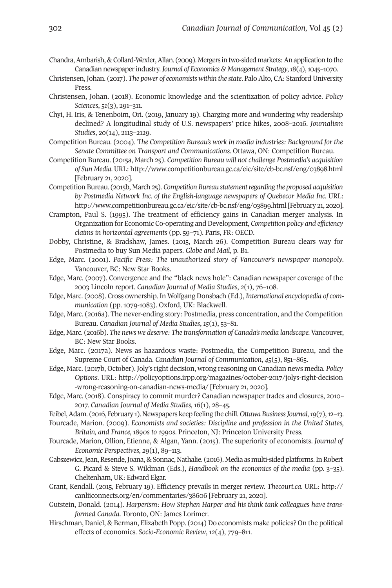- Chandra, Ambarish, & Collard-Wexler, Allan. (2009). Mergers in two-sided markets: An application to the Canadian newspaperindustry. *Journal of Economics & Management Strategy*,*18*(4),1045–1070.
- Christensen, Johan. (2017). *The power of economists within the state*. PaloAlto, CA: StanfordUniversity Press.
- Christensen, Johan. (2018). Economic knowledge and the scientization of policy advice. *Policy Sciences*, *51*(3), 291–311.
- Chyi, H. Iris, & Tenenboim, Ori. (2019, January 19). Charging more and wondering why readership declined? A longitudinal study of U.S. newspapers' price hikes, 2008–2016. *Journalism Studies*, *20*(14), 2113–2129.
- Competition Bureau. (2004). T*he Competition Bureau's work in media industries: Background for the Senate Committee on Transport and Communications.* Ottawa, ON: Competition Bureau.
- Competition Bureau. (2015a, March 25). *Competition Bureau will not challenge Postmedia's acquisition of Sun Media.*URL: <http://www.competitionbureau.gc.ca/eic/site/cb-bc.nsf/eng/03898.html> [February 21, 2020].
- Competition Bureau. (2015b, March 25). *Competition Bureau statementregarding the proposed acquisition by Postmedia Network Inc. of the English-language newspapers of Quebecor Media Inc.* URL: <http://www.competitionbureau.gc.ca/eic/site/cb-bc.nsf/eng/03899.html> [February 21, 2020].
- Crampton, Paul S. (1995). The treatment of efficiency gains in Canadian merger analysis. In Organization for Economic Co-operating and Development, *Competition policy and efficiency claims in horizontal agreements* (pp. 59–71)*.* Paris, FR: OECD.
- Dobby, Christine, & Bradshaw, James. (2015, March 26). Competition Bureau clears way for Postmedia to buy Sun Media papers. *Globe and Mail*, p. B1.
- Edge, Marc. (2001). *Pacific Press: The unauthorized story of Vancouver's newspaper monopoly*. Vancouver, BC: New Star Books.
- Edge, Marc. (2007). Convergence and the "black news hole": Canadian newspaper coverage of the 2003 Lincoln report. *Canadian Journal of Media Studies*, *2*(1), 76–108.
- Edge, Marc. (2008). Cross ownership. In Wolfgang Donsbach (Ed.), *International encyclopedia of communication* (pp. 1079-1083)*.* Oxford, UK: Blackwell.
- Edge, Marc. (2016a). The never-ending story: Postmedia, press concentration, and the Competition Bureau. *Canadian Journal of Media Studies*, *15*(1), 53–81.
- Edge, Marc. (2016b). *The news we deserve: The transformation of Canada's media landscape.* Vancouver, BC: New Star Books.
- Edge, Marc. (2017a). News as hazardous waste: Postmedia, the Competition Bureau, and the Supreme Court of Canada. *Canadian Journal of Communication*, *45*(5), 851–865.
- Edge, Marc. (2017b, October). Joly's right decision, wrong reasoning on Canadian news media. *Policy Options*. URL: [http://policyoptions.irpp.org/magazines/october-2017/jolys-right-decision](http://policyoptions.irpp.org/magazines/october-2017/jolys-right-decision-wrong-reasoning-on-canadian-news-media) [-wrong-reasoning-on-canadian-news-media/](http://policyoptions.irpp.org/magazines/october-2017/jolys-right-decision-wrong-reasoning-on-canadian-news-media) [February 21, 2020].
- Edge, Marc. (2018). Conspiracy to commit murder? Canadian newspaper trades and closures, 2010– 2017. *Canadian Journal of Media Studies, 16*(1), 28–45.
- Feibel, Adam. (2016, February 1). Newspapers keep feeling the chill. *Ottawa Business Journal*, 19(7), 12-13.
- Fourcade, Marion. (2009). *Economists and societies: Discipline and profession in the United States, Britain, and France, 1890s to 1990s*. Princeton, NJ: Princeton University Press.
- Fourcade, Marion, Ollion, Etienne, & Algan, Yann. (2015). The superiority of economists. *Journal of Economic Perspectives*, *29*(1), 89–113.
- Gabszewicz, Jean, Resende, Joana, & Sonnac, Nathalie. (2016). Media as multi-sided platforms. In Robert G. Picard & Steve S. Wildman (Eds.), *Handbook on the economics of the media* (pp. 3–35). Cheltenham, UK: Edward Elgar.
- Grant, Kendall. (2015, February 19). Efficiency prevails in merger review. *Thecourt.ca.* URL: [http://](http://canliiconnects.org/en/commentaries/38606) [canliiconnects.org/en/commentaries/38606](http://canliiconnects.org/en/commentaries/38606) [February 21, 2020].
- Gutstein, Donald. (2014). *Harperism: How Stephen Harper and his think tank colleagues have transformed Canada*. Toronto, ON: James Lorimer.
- Hirschman, Daniel, & Berman, Elizabeth Popp. (2014) Do economists make policies? On the political effects of economics. *Socio-Economic Review*, *12*(4), 779–811.